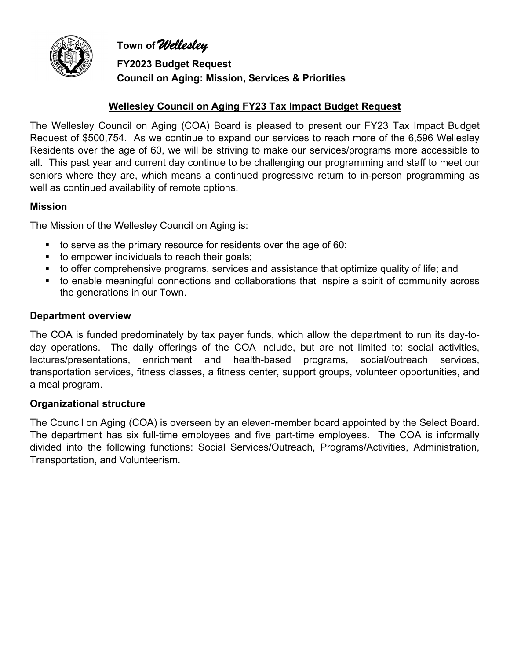

**FY2023 Budget Request Council on Aging: Mission, Services & Priorities**

## **Wellesley Council on Aging FY23 Tax Impact Budget Request**

The Wellesley Council on Aging (COA) Board is pleased to present our FY23 Tax Impact Budget Request of \$500,754. As we continue to expand our services to reach more of the 6,596 Wellesley Residents over the age of 60, we will be striving to make our services/programs more accessible to all. This past year and current day continue to be challenging our programming and staff to meet our seniors where they are, which means a continued progressive return to in-person programming as well as continued availability of remote options.

#### **Mission**

The Mission of the Wellesley Council on Aging is:

- $\blacksquare$  to serve as the primary resource for residents over the age of 60;
- to empower individuals to reach their goals;
- to offer comprehensive programs, services and assistance that optimize quality of life; and
- to enable meaningful connections and collaborations that inspire a spirit of community across the generations in our Town.

#### **Department overview**

The COA is funded predominately by tax payer funds, which allow the department to run its day-today operations. The daily offerings of the COA include, but are not limited to: social activities, lectures/presentations, enrichment and health-based programs, social/outreach services, transportation services, fitness classes, a fitness center, support groups, volunteer opportunities, and a meal program.

#### **Organizational structure**

The Council on Aging (COA) is overseen by an eleven-member board appointed by the Select Board. The department has six full-time employees and five part-time employees. The COA is informally divided into the following functions: Social Services/Outreach, Programs/Activities, Administration, Transportation, and Volunteerism.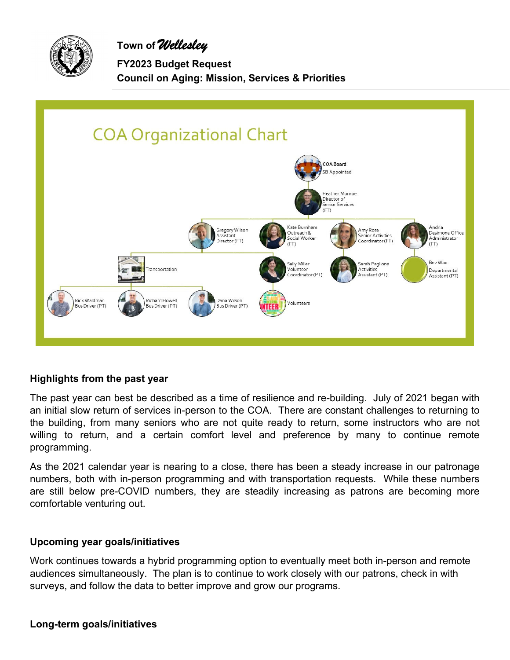

**FY2023 Budget Request Council on Aging: Mission, Services & Priorities**



#### **Highlights from the past year**

The past year can best be described as a time of resilience and re-building. July of 2021 began with an initial slow return of services in-person to the COA. There are constant challenges to returning to the building, from many seniors who are not quite ready to return, some instructors who are not willing to return, and a certain comfort level and preference by many to continue remote programming.

As the 2021 calendar year is nearing to a close, there has been a steady increase in our patronage numbers, both with in-person programming and with transportation requests. While these numbers are still below pre-COVID numbers, they are steadily increasing as patrons are becoming more comfortable venturing out.

#### **Upcoming year goals/initiatives**

Work continues towards a hybrid programming option to eventually meet both in-person and remote audiences simultaneously. The plan is to continue to work closely with our patrons, check in with surveys, and follow the data to better improve and grow our programs.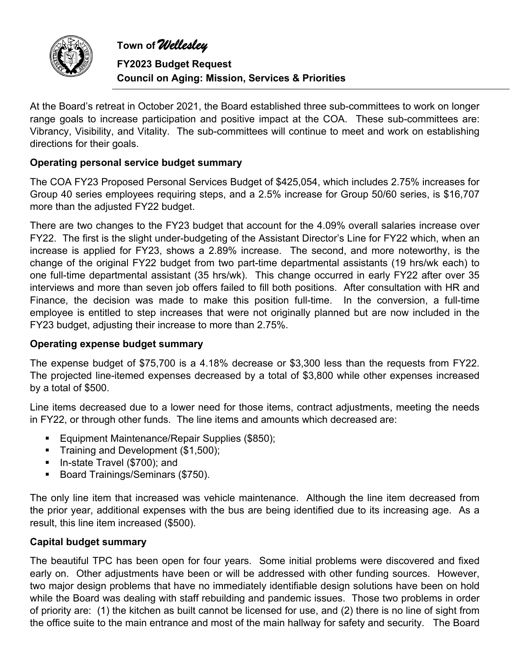

**FY2023 Budget Request Council on Aging: Mission, Services & Priorities**

At the Board's retreat in October 2021, the Board established three sub-committees to work on longer range goals to increase participation and positive impact at the COA. These sub-committees are: Vibrancy, Visibility, and Vitality. The sub-committees will continue to meet and work on establishing directions for their goals.

## **Operating personal service budget summary**

The COA FY23 Proposed Personal Services Budget of \$425,054, which includes 2.75% increases for Group 40 series employees requiring steps, and a 2.5% increase for Group 50/60 series, is \$16,707 more than the adjusted FY22 budget.

There are two changes to the FY23 budget that account for the 4.09% overall salaries increase over FY22. The first is the slight under-budgeting of the Assistant Director's Line for FY22 which, when an increase is applied for FY23, shows a 2.89% increase. The second, and more noteworthy, is the change of the original FY22 budget from two part-time departmental assistants (19 hrs/wk each) to one full-time departmental assistant (35 hrs/wk). This change occurred in early FY22 after over 35 interviews and more than seven job offers failed to fill both positions. After consultation with HR and Finance, the decision was made to make this position full-time. In the conversion, a full-time employee is entitled to step increases that were not originally planned but are now included in the FY23 budget, adjusting their increase to more than 2.75%.

#### **Operating expense budget summary**

The expense budget of \$75,700 is a 4.18% decrease or \$3,300 less than the requests from FY22. The projected line-itemed expenses decreased by a total of \$3,800 while other expenses increased by a total of \$500.

Line items decreased due to a lower need for those items, contract adjustments, meeting the needs in FY22, or through other funds. The line items and amounts which decreased are:

- **Equipment Maintenance/Repair Supplies (\$850);**
- Training and Development (\$1,500);
- **In-state Travel (\$700); and**
- Board Trainings/Seminars (\$750).

The only line item that increased was vehicle maintenance. Although the line item decreased from the prior year, additional expenses with the bus are being identified due to its increasing age. As a result, this line item increased (\$500).

#### **Capital budget summary**

The beautiful TPC has been open for four years. Some initial problems were discovered and fixed early on. Other adjustments have been or will be addressed with other funding sources. However, two major design problems that have no immediately identifiable design solutions have been on hold while the Board was dealing with staff rebuilding and pandemic issues. Those two problems in order of priority are: (1) the kitchen as built cannot be licensed for use, and (2) there is no line of sight from the office suite to the main entrance and most of the main hallway for safety and security. The Board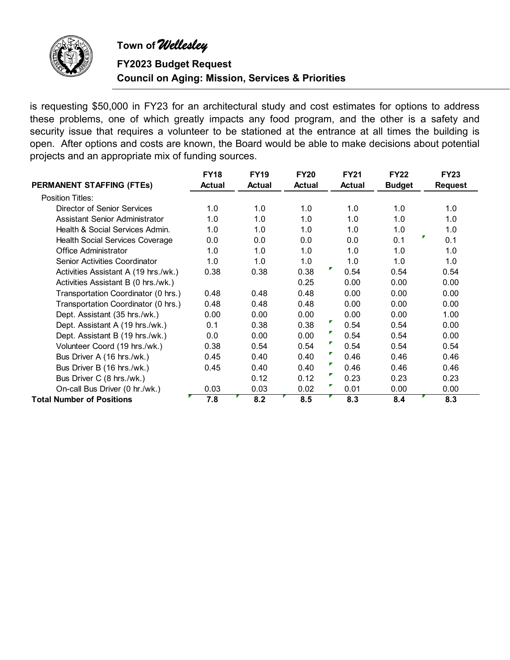

**FY2023 Budget Request Council on Aging: Mission, Services & Priorities**

is requesting \$50,000 in FY23 for an architectural study and cost estimates for options to address these problems, one of which greatly impacts any food program, and the other is a safety and security issue that requires a volunteer to be stationed at the entrance at all times the building is open. After options and costs are known, the Board would be able to make decisions about potential projects and an appropriate mix of funding sources.

|                                      | <b>FY18</b>   | <b>FY19</b>   | <b>FY20</b>   | <b>FY21</b>   | <b>FY22</b>   | <b>FY23</b>    |
|--------------------------------------|---------------|---------------|---------------|---------------|---------------|----------------|
| <b>PERMANENT STAFFING (FTEs)</b>     | <b>Actual</b> | <b>Actual</b> | <b>Actual</b> | <b>Actual</b> | <b>Budget</b> | <b>Request</b> |
| Position Titles:                     |               |               |               |               |               |                |
| Director of Senior Services          | 1.0           | 1.0           | 1.0           | 1.0           | 1.0           | 1.0            |
| Assistant Senior Administrator       | 1.0           | 1.0           | 1.0           | 1.0           | 1.0           | 1.0            |
| Health & Social Services Admin.      | 1.0           | 1.0           | 1.0           | 1.0           | 1.0           | 1.0            |
| Health Social Services Coverage      | 0.0           | 0.0           | 0.0           | 0.0           | 0.1           | ┏<br>0.1       |
| Office Administrator                 | 1.0           | 1.0           | 1.0           | 1.0           | 1.0           | 1.0            |
| <b>Senior Activities Coordinator</b> | 1.0           | 1.0           | 1.0           | 1.0           | 1.0           | 1.0            |
| Activities Assistant A (19 hrs./wk.) | 0.38          | 0.38          | 0.38          | ┏<br>0.54     | 0.54          | 0.54           |
| Activities Assistant B (0 hrs./wk.)  |               |               | 0.25          | 0.00          | 0.00          | 0.00           |
| Transportation Coordinator (0 hrs.)  | 0.48          | 0.48          | 0.48          | 0.00          | 0.00          | 0.00           |
| Transportation Coordinator (0 hrs.)  | 0.48          | 0.48          | 0.48          | 0.00          | 0.00          | 0.00           |
| Dept. Assistant (35 hrs./wk.)        | 0.00          | 0.00          | 0.00          | 0.00          | 0.00          | 1.00           |
| Dept. Assistant A (19 hrs./wk.)      | 0.1           | 0.38          | 0.38          | ₽<br>0.54     | 0.54          | 0.00           |
| Dept. Assistant B (19 hrs./wk.)      | 0.0           | 0.00          | 0.00          | ₽.<br>0.54    | 0.54          | 0.00           |
| Volunteer Coord (19 hrs./wk.)        | 0.38          | 0.54          | 0.54          | ▛<br>0.54     | 0.54          | 0.54           |
| Bus Driver A (16 hrs./wk.)           | 0.45          | 0.40          | 0.40          | ┏<br>0.46     | 0.46          | 0.46           |
| Bus Driver B (16 hrs./wk.)           | 0.45          | 0.40          | 0.40          | ₽<br>0.46     | 0.46          | 0.46           |
| Bus Driver C (8 hrs./wk.)            |               | 0.12          | 0.12          | ŗ<br>0.23     | 0.23          | 0.23           |
| On-call Bus Driver (0 hr./wk.)       | 0.03          | 0.03          | 0.02          | ┏<br>0.01     | 0.00          | 0.00           |
| <b>Total Number of Positions</b>     | 7.8           | 8.2           | 8.5           | 8.3           | 8.4           | 8.3            |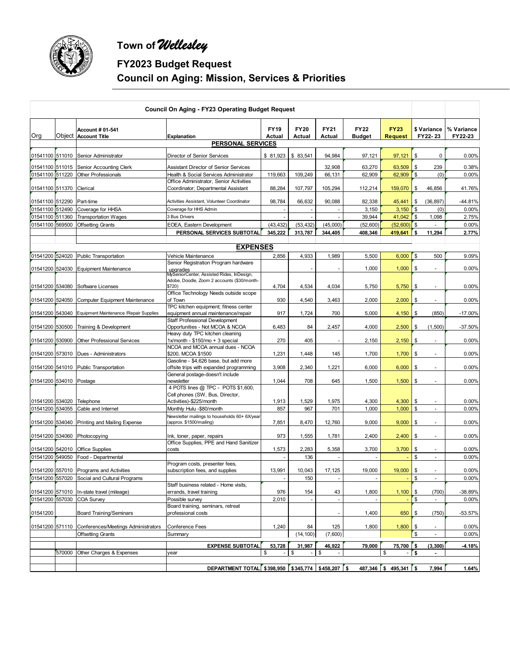

# **FY2023 Budget Request Council on Aging: Mission, Services & Priorities**

|                          |        |                                                     | <b>Council On Aging - FY23 Operating Budget Request</b>                                                             |                       |                       |                       |                              |                                |                                |                       |
|--------------------------|--------|-----------------------------------------------------|---------------------------------------------------------------------------------------------------------------------|-----------------------|-----------------------|-----------------------|------------------------------|--------------------------------|--------------------------------|-----------------------|
| Org                      |        | <b>Account # 01-541</b><br>Object Account Title     | <b>Explanation</b>                                                                                                  | <b>FY19</b><br>Actual | <b>FY20</b><br>Actual | <b>FY21</b><br>Actual | <b>FY22</b><br><b>Budget</b> | <b>FY23</b><br><b>Request</b>  | \$ Variance<br>FY22-23         | % Variance<br>FY22-23 |
|                          |        |                                                     | <b>PERSONAL SERVICES</b>                                                                                            |                       |                       |                       |                              |                                |                                |                       |
|                          |        | 01541100 511010 Senior Administrator                | <b>Director of Senior Services</b>                                                                                  | \$81,923              | \$ 83.541             | 94,984                | 97,121                       | 97,121                         | \$<br>0                        | 0.00%                 |
| 01541100 511015          |        | Senior Accounting Clerk                             | Assistant Director of Senior Services                                                                               |                       |                       | 32,908                | 63,270                       | 63,509                         | \$<br>239                      | 0.38%                 |
| 01541100 511220          |        | Other Professionals                                 | Health & Social Services Administrator                                                                              | 119,663               | 109,249               | 66,131                | 62,909                       | 62,909                         | \$<br>(0)                      | 0.00%                 |
| 01541100 511370 Clerical |        |                                                     | Office Administrator, Senior Activities<br>Coordinator; Departmental Assistant                                      | 88,284                | 107,797               | 105,294               | 112,214                      | 159,070                        | \$<br>46,856                   | 41.76%                |
| 01541100 512290          |        | Part-time                                           | Activities Assistant, Volunteer Coordinator                                                                         | 98,784                | 66,632                | 90,088                | 82,338                       | 45,441                         | \$<br>(36, 897)                | -44.81%               |
| 01541100 512490          |        | Coverage for HHSA                                   | Coverage for HHS Admin                                                                                              |                       |                       |                       | 3,150                        | 3,150                          | \$<br>(0)                      | 0.00%                 |
| 01541100 511360          |        | Transportation Wages                                | 3 Bus Drivers                                                                                                       |                       |                       |                       | 39,944                       | 41,042                         | \$<br>1,098                    | 2.75%                 |
| 01541100 569500          |        | <b>Offsetting Grants</b>                            | EOEA, Eastern Development                                                                                           | (43, 432)             | (53, 432)             | (45,000)              | (52,600)                     | (52,600)                       | $\mathbf{\hat{s}}$             | 0.00%                 |
|                          |        |                                                     | PERSONAL SERVICES SUBTOTAL                                                                                          | 345,222               | 313,787               | 344,405               | 408,346                      | 419,641                        | \$<br>11,294                   | 2.77%                 |
|                          |        |                                                     | <b>EXPENSES</b>                                                                                                     |                       |                       |                       |                              |                                |                                |                       |
| 01541200 524020          |        | Public Transportation                               | Vehicle Maintenance                                                                                                 | 2,856                 | 4,933                 | 1,989                 | 5,500                        | 6,000                          | \$<br>500                      | 9.09%                 |
| 01541200 524030          |        | Equipment Maintenance                               | Senior Registration Program hardware<br>upgrades<br>MySeniorCenter, Assisted Rides, InDesign,                       |                       |                       |                       | 1,000                        | 1,000                          | \$<br>ä,                       | 0.00%                 |
| 01541200 534080          |        | Software Licenses                                   | Adobe, Doodle, Zoom 2 accounts (\$30/month-<br>\$720)<br>Office Technology Needs outside scope                      | 4,704                 | 4,534                 | 4,034                 | 5,750                        | 5,750                          | \$<br>$\omega$                 | 0.00%                 |
| 01541200 524050          |        | Computer Equipment Maintenance                      | of Town                                                                                                             | 930                   | 4,540                 | 3,463                 | 2,000                        | 2,000                          | \$<br>÷,                       | 0.00%                 |
| 01541200 543040          |        | Equipment Maintenance / Repair Supplies             | TPC kitchen equipment; fitness center<br>equipment annual maintenance/repair                                        | 917                   | 1,724                 | 700                   | 5,000                        | 4,150                          | \$<br>(850)                    | $-17.00%$             |
| 01541200 530500          |        | Training & Development                              | Staff Professional Development<br>Opportunities - Not MCOA & NCOA<br>Heavy duty TPC kitchen cleaning                | 6,483                 | 84                    | 2,457                 | 4,000                        | 2,500                          | \$<br>(1,500)                  | $-37.50%$             |
| 01541200 530900          |        | <b>Other Professional Services</b>                  | 1x/month - \$150/mo + 3 special                                                                                     | 270                   | 405                   |                       | 2,150                        | 2,150                          | \$<br>$\blacksquare$           | 0.00%                 |
|                          |        | 01541200 573010 Dues - Administrators               | NCOA and MCOA annual dues - NCOA<br>\$200, MCOA \$1500                                                              | 1,231                 | 1,448                 | 145                   | 1,700                        | 1,700                          | \$<br>$\overline{a}$           | 0.00%                 |
|                          |        | 01541200 541010 Public Transportation               | Gasoline - \$4,626 base, but add more<br>offsite trips with expanded programming<br>General postage-doesn't include | 3,908                 | 2,340                 | 1,221                 | 6,000                        | 6,000                          | \$<br>$\blacksquare$           | 0.00%                 |
| 01541200 534010 Postage  |        |                                                     | newsletter<br>4 POTS lines @ TPC - POTS \$1,600,                                                                    | 1,044                 | 708                   | 645                   | 1,500                        | 1,500                          | \$<br>$\blacksquare$           | 0.00%                 |
| 01541200 534020          |        | Telephone                                           | Cell phones (SW, Bus, Director,<br>Activities)-\$225/month                                                          | 1,913                 | 1,529                 | 1,975                 | 4,300                        | 4,300                          | \$<br>$\overline{\phantom{a}}$ | 0.00%                 |
| 01541200 534055          |        | Cable and Internet                                  | Monthly Hulu -\$80/month                                                                                            | 857                   | 967                   | 701                   | 1,000                        | 1,000                          | \$<br>$\mathbf{r}$             | 0.00%                 |
| 01541200 534040          |        | Printing and Mailing Expense                        | Newsletter mailings to households 60+ 6X/year<br>(approx. \$1500/mailing)                                           | 7,851                 | 8,470                 | 12,760                | 9,000                        | 9,000                          | \$<br>$\sim$                   | 0.00%                 |
| 01541200 534060          |        | Photocopying                                        | Ink, toner, paper, repairs<br>Office Supplies, PPE and Hand Sanitizer                                               | 973                   | 1,555                 | 1,781                 | 2,400                        | 2,400                          | \$<br>$\blacksquare$           | 0.00%                 |
| 01541200 542010          |        | <b>Office Supplies</b>                              | costs                                                                                                               | 1,573                 | 2,283                 | 5,358                 | 3,700                        | 3,700                          | \$                             | 0.00%                 |
| 01541200 549050          |        | Food - Departmental                                 |                                                                                                                     |                       | 136                   |                       |                              |                                | \$<br>$\omega$                 | 0.00%                 |
|                          |        | 01541200 557010 Programs and Activities             | Program costs, presenter fees,<br>subscription fees, and supplies                                                   | 13,991                | 10.043                | 17,125                | 19,000                       | 19,000                         | \$                             | 0.00%                 |
| 01541200 557020          |        | Social and Cultural Programs                        | Staff business related - Home visits,                                                                               |                       | 150                   |                       |                              |                                | \$<br>$\overline{\phantom{a}}$ | 0.00%                 |
| 01541200 571010          |        | In-state travel (mileage)                           | errands, travel training                                                                                            | 976                   | 154                   | 43                    | 1,800                        | 1,100                          | \$<br>(700)                    | -38.89%               |
| 01541200 557030          |        | COA Survey                                          | Possible survey<br>Board training, seminars, retreat                                                                | 2,010                 |                       |                       |                              |                                | \$<br>$\omega$                 | 0.00%                 |
| 01541200                 |        | <b>Board Training/Seminars</b>                      | professional costs                                                                                                  |                       |                       |                       | 1,400                        | 650                            | \$<br>(750)                    | $-53.57%$             |
|                          |        | 01541200 571110 Conferences/Meetings Administrators | Conference Fees                                                                                                     | 1,240                 | 84                    | 125                   | 1,800                        | 1,800                          | \$<br>$\omega$                 | 0.00%                 |
|                          |        | <b>Offsetting Grants</b>                            | Summary                                                                                                             |                       | (14, 100)             | (7,600)               |                              |                                | \$<br>$\blacksquare$           | 0.00%                 |
|                          |        |                                                     | <b>EXPENSE SUBTOTAL</b>                                                                                             | 53,728                | 31,987                | 46,922                | 79,000                       | 75,700                         | \$<br>(3, 300)                 | $-4.18%$              |
|                          | 570000 | Other Charges & Expenses                            | year                                                                                                                | \$<br>$\blacksquare$  | \$                    | \$                    |                              | \$<br>$\overline{\phantom{a}}$ | \$                             |                       |
|                          |        |                                                     |                                                                                                                     |                       |                       |                       |                              |                                |                                |                       |
|                          |        |                                                     | DEPARTMENT TOTAL \$398,950 \$345,774                                                                                |                       |                       | $$458,207$ $$$        |                              | $487,346$ \$ $495,341$ \$      | 7,994                          | 1.64%                 |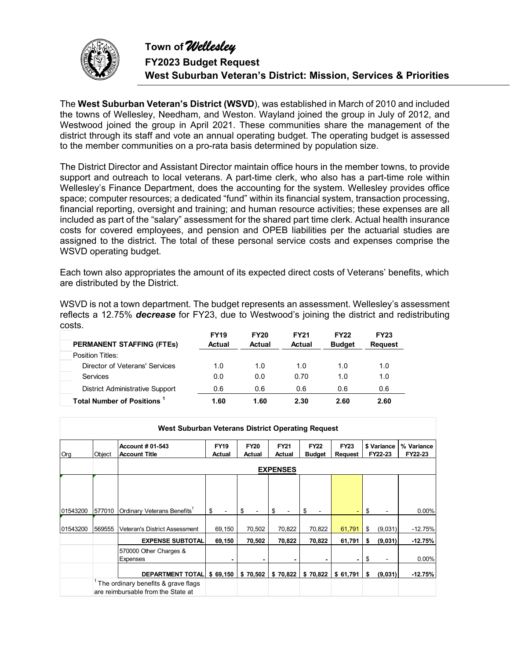

The **West Suburban Veteran's District (WSVD**), was established in March of 2010 and included the towns of Wellesley, Needham, and Weston. Wayland joined the group in July of 2012, and Westwood joined the group in April 2021. These communities share the management of the district through its staff and vote an annual operating budget. The operating budget is assessed to the member communities on a pro-rata basis determined by population size.

The District Director and Assistant Director maintain office hours in the member towns, to provide support and outreach to local veterans. A part-time clerk, who also has a part-time role within Wellesley's Finance Department, does the accounting for the system. Wellesley provides office space; computer resources; a dedicated "fund" within its financial system, transaction processing, financial reporting, oversight and training; and human resource activities; these expenses are all included as part of the "salary" assessment for the shared part time clerk. Actual health insurance costs for covered employees, and pension and OPEB liabilities per the actuarial studies are assigned to the district. The total of these personal service costs and expenses comprise the WSVD operating budget.

Each town also appropriates the amount of its expected direct costs of Veterans' benefits, which are distributed by the District.

WSVD is not a town department. The budget represents an assessment. Wellesley's assessment reflects a 12.75% *decrease* for FY23, due to Westwood's joining the district and redistributing costs.

| <b>PERMANENT STAFFING (FTES)</b>       | <b>FY19</b><br><b>Actual</b> | <b>FY20</b><br>Actual | <b>FY21</b><br>Actual | <b>FY22</b><br><b>Budget</b> | <b>FY23</b><br><b>Request</b> |
|----------------------------------------|------------------------------|-----------------------|-----------------------|------------------------------|-------------------------------|
| Position Titles:                       |                              |                       |                       |                              |                               |
| Director of Veterans' Services         | 1.0                          | 1.0                   | 1.0                   | 1.0                          | 1.0                           |
| Services                               | 0.0                          | 0.0                   | 0.70                  | 1.0                          | 1.0                           |
| <b>District Administrative Support</b> | 0.6                          | 0.6                   | 0.6                   | 0.6                          | 0.6                           |
| Total Number of Positions <sup>1</sup> | 1.60                         | 1.60                  | 2.30                  | 2.60                         | 2.60                          |

| West Suburban Veterans District Operating Request |        |                                                                           |                       |                       |                       |                              |                        |                        |                       |  |  |  |  |
|---------------------------------------------------|--------|---------------------------------------------------------------------------|-----------------------|-----------------------|-----------------------|------------------------------|------------------------|------------------------|-----------------------|--|--|--|--|
| Org                                               | Object | <b>Account # 01-543</b><br><b>Account Title</b>                           | <b>FY19</b><br>Actual | <b>FY20</b><br>Actual | <b>FY21</b><br>Actual | <b>FY22</b><br><b>Budget</b> | <b>FY23</b><br>Request | \$ Variance<br>FY22-23 | % Variance<br>FY22-23 |  |  |  |  |
|                                                   |        | <b>EXPENSES</b>                                                           |                       |                       |                       |                              |                        |                        |                       |  |  |  |  |
|                                                   |        |                                                                           |                       |                       |                       |                              |                        |                        |                       |  |  |  |  |
|                                                   |        |                                                                           |                       |                       |                       |                              |                        |                        |                       |  |  |  |  |
| 01543200                                          | 577010 | Ordinary Veterans Benefits'                                               | \$                    | \$                    | \$                    | \$                           |                        | \$                     | 0.00%                 |  |  |  |  |
| 01543200                                          | 569555 | <b>Veteran's District Assessment</b>                                      | 69,150                | 70,502                | 70,822                | 70,822                       | 61,791                 | \$<br>(9,031)          | $-12.75%$             |  |  |  |  |
|                                                   |        | <b>EXPENSE SUBTOTAL</b>                                                   | 69,150                | 70,502                | 70,822                | 70,822                       | 61,791                 | \$<br>(9,031)          | $-12.75%$             |  |  |  |  |
|                                                   |        | 570000 Other Charges &<br><b>Expenses</b>                                 |                       |                       |                       |                              |                        | \$                     | 0.00%                 |  |  |  |  |
|                                                   |        | <b>DEPARTMENT TOTALI</b>                                                  | \$69,150              | \$70,502              | \$70,822              | \$70,822                     | \$61,791               | \$<br>(9,031)          | $-12.75%$             |  |  |  |  |
|                                                   |        | The ordinary benefits & grave flags<br>are reimbursable from the State at |                       |                       |                       |                              |                        |                        |                       |  |  |  |  |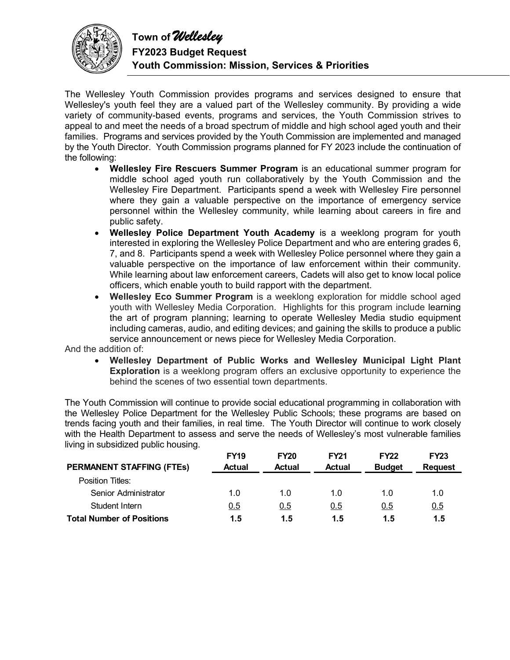

**FY2023 Budget Request Youth Commission: Mission, Services & Priorities** 

The Wellesley Youth Commission provides programs and services designed to ensure that Wellesley's youth feel they are a valued part of the Wellesley community. By providing a wide variety of community-based events, programs and services, the Youth Commission strives to appeal to and meet the needs of a broad spectrum of middle and high school aged youth and their families. Programs and services provided by the Youth Commission are implemented and managed by the Youth Director. Youth Commission programs planned for FY 2023 include the continuation of the following:

- **Wellesley Fire Rescuers Summer Program** is an educational summer program for middle school aged youth run collaboratively by the Youth Commission and the Wellesley Fire Department. Participants spend a week with Wellesley Fire personnel where they gain a valuable perspective on the importance of emergency service personnel within the Wellesley community, while learning about careers in fire and public safety.
- **Wellesley Police Department Youth Academy** is a weeklong program for youth interested in exploring the Wellesley Police Department and who are entering grades 6, 7, and 8. Participants spend a week with Wellesley Police personnel where they gain a valuable perspective on the importance of law enforcement within their community. While learning about law enforcement careers, Cadets will also get to know local police officers, which enable youth to build rapport with the department.
- **Wellesley Eco Summer Program** is a weeklong exploration for middle school aged youth with Wellesley Media Corporation. Highlights for this program include learning the art of program planning; learning to operate Wellesley Media studio equipment including cameras, audio, and editing devices; and gaining the skills to produce a public service announcement or news piece for Wellesley Media Corporation.

And the addition of:

 **Wellesley Department of Public Works and Wellesley Municipal Light Plant Exploration** is a weeklong program offers an exclusive opportunity to experience the behind the scenes of two essential town departments.

The Youth Commission will continue to provide social educational programming in collaboration with the Wellesley Police Department for the Wellesley Public Schools; these programs are based on trends facing youth and their families, in real time. The Youth Director will continue to work closely with the Health Department to assess and serve the needs of Wellesley's most vulnerable families living in subsidized public housing.

|                                  | <b>FY19</b>   | <b>FY20</b>   | <b>FY21</b>   | <b>FY22</b>   | <b>FY23</b>    |
|----------------------------------|---------------|---------------|---------------|---------------|----------------|
| <b>PERMANENT STAFFING (FTEs)</b> | <b>Actual</b> | <b>Actual</b> | <b>Actual</b> | <b>Budget</b> | <b>Request</b> |
| Position Titles:                 |               |               |               |               |                |
| Senior Administrator             | 1.0           | 1.0           | 10            | 1.0           | 1.0            |
| Student Intern                   | 0.5           | 0.5           | 0.5           | 0.5           | 0.5            |
| <b>Total Number of Positions</b> | 1.5           | 1.5           | 1.5           | 1.5           | 1.5            |